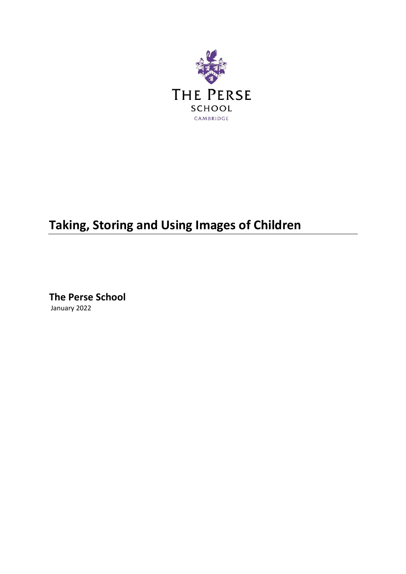

# **Taking, Storing and Using Images of Children**

**The Perse School** January 2022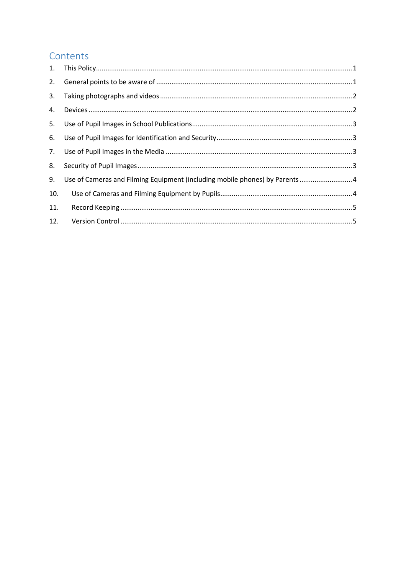# Contents

| 2.  |                                                                             |  |
|-----|-----------------------------------------------------------------------------|--|
| 3.  |                                                                             |  |
| 4.  |                                                                             |  |
| 5.  |                                                                             |  |
| 6.  |                                                                             |  |
|     |                                                                             |  |
| 8.  |                                                                             |  |
| 9.  | Use of Cameras and Filming Equipment (including mobile phones) by Parents 4 |  |
| 10. |                                                                             |  |
| 11. |                                                                             |  |
| 12. |                                                                             |  |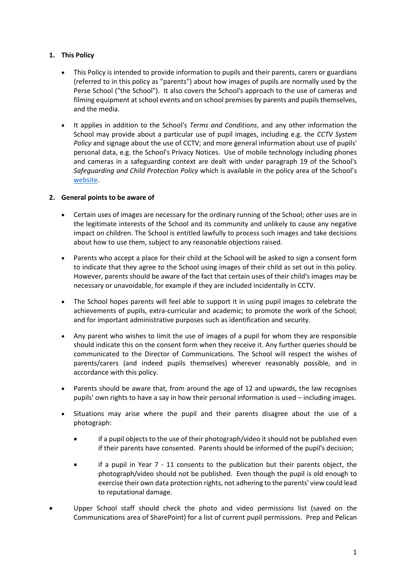# <span id="page-2-0"></span>**1. This Policy**

- This Policy is intended to provide information to pupils and their parents, carers or guardians (referred to in this policy as "parents") about how images of pupils are normally used by the Perse School ("the School"). It also covers the School's approach to the use of cameras and filming equipment at school events and on school premises by parents and pupils themselves, and the media.
- It applies in addition to the School's *Terms and Conditions*, and any other information the School may provide about a particular use of pupil images, including e.g. the *CCTV System Policy* and signage about the use of CCTV; and more general information about use of pupils' personal data, e.g. the School's Privacy Notices. Use of mobile technology including phones and cameras in a safeguarding context are dealt with under paragraph 19 of the School's *Safeguarding and Child Protection Policy* which is available in the policy area of the School's [website.](https://www.perse.co.uk/policies/)

# <span id="page-2-1"></span>**2. General points to be aware of**

- Certain uses of images are necessary for the ordinary running of the School; other uses are in the legitimate interests of the School and its community and unlikely to cause any negative impact on children. The School is entitled lawfully to process such images and take decisions about how to use them, subject to any reasonable objections raised.
- Parents who accept a place for their child at the School will be asked to sign a consent form to indicate that they agree to the School using images of their child as set out in this policy. However, parents should be aware of the fact that certain uses of their child's images may be necessary or unavoidable, for example if they are included incidentally in CCTV.
- The School hopes parents will feel able to support it in using pupil images to celebrate the achievements of pupils, extra-curricular and academic; to promote the work of the School; and for important administrative purposes such as identification and security.
- Any parent who wishes to limit the use of images of a pupil for whom they are responsible should indicate this on the consent form when they receive it. Any further queries should be communicated to the Director of Communications. The School will respect the wishes of parents/carers (and indeed pupils themselves) wherever reasonably possible, and in accordance with this policy.
- Parents should be aware that, from around the age of 12 and upwards, the law recognises pupils' own rights to have a say in how their personal information is used – including images.
- Situations may arise where the pupil and their parents disagree about the use of a photograph:
	- if a pupil objects to the use of their photograph/video it should not be published even if their parents have consented. Parents should be informed of the pupil's decision;
	- if a pupil in Year 7 11 consents to the publication but their parents object, the photograph/video should not be published. Even though the pupil is old enough to exercise their own data protection rights, not adhering to the parents' view could lead to reputational damage.
- Upper School staff should check the photo and video permissions list (saved on the Communications area of SharePoint) for a list of current pupil permissions. Prep and Pelican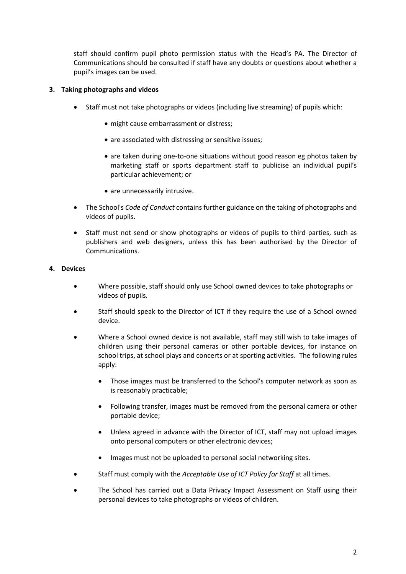staff should confirm pupil photo permission status with the Head's PA. The Director of Communications should be consulted if staff have any doubts or questions about whether a pupil's images can be used.

# <span id="page-3-0"></span>**3. Taking photographs and videos**

- Staff must not take photographs or videos (including live streaming) of pupils which:
	- might cause embarrassment or distress;
	- are associated with distressing or sensitive issues;
	- are taken during one-to-one situations without good reason eg photos taken by marketing staff or sports department staff to publicise an individual pupil's particular achievement; or
	- are unnecessarily intrusive.
- The School's *Code of Conduct* contains further guidance on the taking of photographs and videos of pupils.
- Staff must not send or show photographs or videos of pupils to third parties, such as publishers and web designers, unless this has been authorised by the Director of Communications.

#### <span id="page-3-1"></span>**4. Devices**

- Where possible, staff should only use School owned devices to take photographs or videos of pupils.
- Staff should speak to the Director of ICT if they require the use of a School owned device.
- Where a School owned device is not available, staff may still wish to take images of children using their personal cameras or other portable devices, for instance on school trips, at school plays and concerts or at sporting activities. The following rules apply:
	- Those images must be transferred to the School's computer network as soon as is reasonably practicable;
	- Following transfer, images must be removed from the personal camera or other portable device;
	- Unless agreed in advance with the Director of ICT, staff may not upload images onto personal computers or other electronic devices;
	- Images must not be uploaded to personal social networking sites.
- Staff must comply with the *Acceptable Use of ICT Policy for Staff* at all times.
- The School has carried out a Data Privacy Impact Assessment on Staff using their personal devices to take photographs or videos of children.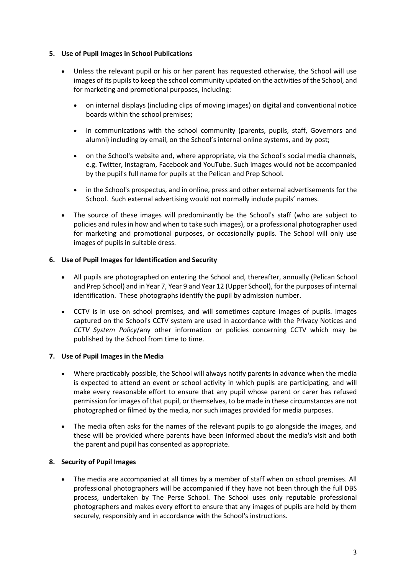#### <span id="page-4-0"></span>**5. Use of Pupil Images in School Publications**

- Unless the relevant pupil or his or her parent has requested otherwise, the School will use images of its pupils to keep the school community updated on the activities of the School, and for marketing and promotional purposes, including:
	- on internal displays (including clips of moving images) on digital and conventional notice boards within the school premises;
	- in communications with the school community (parents, pupils, staff, Governors and alumni) including by email, on the School's internal online systems, and by post;
	- on the School's website and, where appropriate, via the School's social media channels, e.g. Twitter, Instagram, Facebook and YouTube. Such images would not be accompanied by the pupil's full name for pupils at the Pelican and Prep School.
	- in the School's prospectus, and in online, press and other external advertisements for the School. Such external advertising would not normally include pupils' names.
- The source of these images will predominantly be the School's staff (who are subject to policies and rules in how and when to take such images), or a professional photographer used for marketing and promotional purposes, or occasionally pupils. The School will only use images of pupils in suitable dress.

#### <span id="page-4-1"></span>**6. Use of Pupil Images for Identification and Security**

- All pupils are photographed on entering the School and, thereafter, annually (Pelican School and Prep School) and in Year 7, Year 9 and Year 12 (Upper School), for the purposes of internal identification. These photographs identify the pupil by admission number.
- CCTV is in use on school premises, and will sometimes capture images of pupils. Images captured on the School's CCTV system are used in accordance with the Privacy Notices and *CCTV System Policy*/any other information or policies concerning CCTV which may be published by the School from time to time.

#### <span id="page-4-2"></span>**7. Use of Pupil Images in the Media**

- Where practicably possible, the School will always notify parents in advance when the media is expected to attend an event or school activity in which pupils are participating, and will make every reasonable effort to ensure that any pupil whose parent or carer has refused permission for images of that pupil, or themselves, to be made in these circumstances are not photographed or filmed by the media, nor such images provided for media purposes.
- The media often asks for the names of the relevant pupils to go alongside the images, and these will be provided where parents have been informed about the media's visit and both the parent and pupil has consented as appropriate.

# <span id="page-4-3"></span>**8. Security of Pupil Images**

• The media are accompanied at all times by a member of staff when on school premises. All professional photographers will be accompanied if they have not been through the full DBS process, undertaken by The Perse School. The School uses only reputable professional photographers and makes every effort to ensure that any images of pupils are held by them securely, responsibly and in accordance with the School's instructions.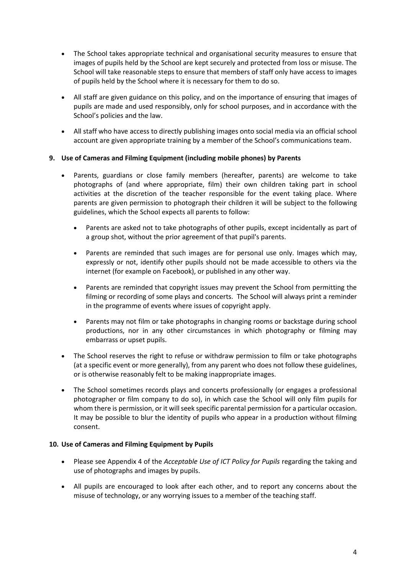- The School takes appropriate technical and organisational security measures to ensure that images of pupils held by the School are kept securely and protected from loss or misuse. The School will take reasonable steps to ensure that members of staff only have access to images of pupils held by the School where it is necessary for them to do so.
- All staff are given guidance on this policy, and on the importance of ensuring that images of pupils are made and used responsibly, only for school purposes, and in accordance with the School's policies and the law.
- All staff who have access to directly publishing images onto social media via an official school account are given appropriate training by a member of the School's communications team.

# <span id="page-5-0"></span>**9. Use of Cameras and Filming Equipment (including mobile phones) by Parents**

- Parents, guardians or close family members (hereafter, parents) are welcome to take photographs of (and where appropriate, film) their own children taking part in school activities at the discretion of the teacher responsible for the event taking place. Where parents are given permission to photograph their children it will be subject to the following guidelines, which the School expects all parents to follow:
	- Parents are asked not to take photographs of other pupils, except incidentally as part of a group shot, without the prior agreement of that pupil's parents.
	- Parents are reminded that such images are for personal use only. Images which may, expressly or not, identify other pupils should not be made accessible to others via the internet (for example on Facebook), or published in any other way.
	- Parents are reminded that copyright issues may prevent the School from permitting the filming or recording of some plays and concerts. The School will always print a reminder in the programme of events where issues of copyright apply.
	- Parents may not film or take photographs in changing rooms or backstage during school productions, nor in any other circumstances in which photography or filming may embarrass or upset pupils.
- The School reserves the right to refuse or withdraw permission to film or take photographs (at a specific event or more generally), from any parent who does not follow these guidelines, or is otherwise reasonably felt to be making inappropriate images.
- The School sometimes records plays and concerts professionally (or engages a professional photographer or film company to do so), in which case the School will only film pupils for whom there is permission, or it will seek specific parental permission for a particular occasion. It may be possible to blur the identity of pupils who appear in a production without filming consent.

#### <span id="page-5-1"></span>**10. Use of Cameras and Filming Equipment by Pupils**

- Please see Appendix 4 of the *Acceptable Use of ICT Policy for Pupils* regarding the taking and use of photographs and images by pupils.
- All pupils are encouraged to look after each other, and to report any concerns about the misuse of technology, or any worrying issues to a member of the teaching staff.